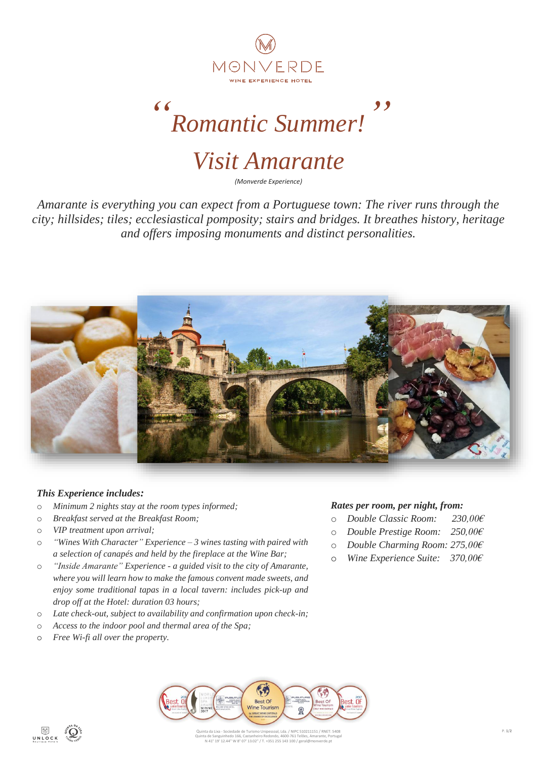

*" Romantic Summer! "*

*Visit Amarante*

*(Monverde Experience)*

*Amarante is everything you can expect from a Portuguese town: The river runs through the city; hillsides; tiles; ecclesiastical pomposity; stairs and bridges. It breathes history, heritage and offers imposing monuments and distinct personalities.*



### *This Experience includes:*

- o *Minimum 2 nights stay at the room types informed;*
- o *Breakfast served at the Breakfast Room;*
- o *VIP treatment upon arrival;*
- o *"Wines With Character" Experience – 3 wines tasting with paired with a selection of canapés and held by the fireplace at the Wine Bar;*
- o *"Inside Amarante" Experience - a guided visit to the city of Amarante, where you will learn how to make the famous convent made sweets, and enjoy some traditional tapas in a local tavern: includes pick-up and drop off at the Hotel: duration 03 hours;*
- o *Late check-out, subject to availability and confirmation upon check-in;*
- o *Access to the indoor pool and thermal area of the Spa;*
- o *Free Wi-fi all over the property.*

## *Rates per room, per night, from:*

- o *Double Classic Room: 230,00€*
- o *Double Prestige Room: 250,00€*
- o *Double Charming Room: 275,00€*
- o *Wine Experience Suite: 370,00€*